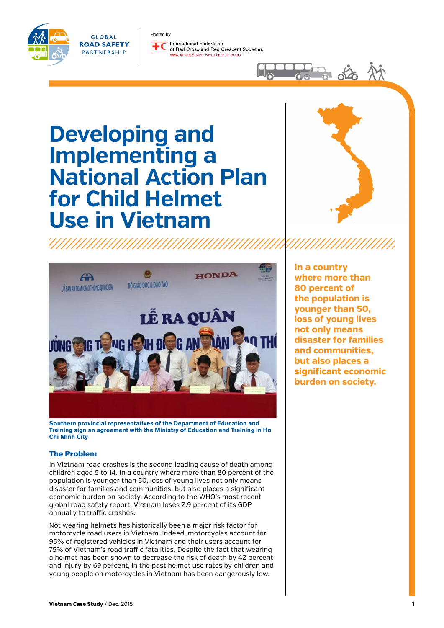

GLOBAL **ROAD SAFETY** PARTNERSHIP

Hosted byInternational Federation of Bed Cross and Bed Crescent Societies rc.org Saving lives, changing minds

# **Developing and Implementing a National Action Plan for Child Helmet Use in Vietnam**



 $\frac{1}{2}$ 



**Southern provincial representatives of the Department of Education and Training sign an agreement with the Ministry of Education and Training in Ho Chi Minh City**

## The Problem

In Vietnam road crashes is the second leading cause of death among children aged 5 to 14. In a country where more than 80 percent of the population is younger than 50, loss of young lives not only means disaster for families and communities, but also places a significant economic burden on society. According to the WHO's most recent global road safety report, Vietnam loses 2.9 percent of its GDP annually to traffic crashes.

Not wearing helmets has historically been a major risk factor for motorcycle road users in Vietnam. Indeed, motorcycles account for 95% of registered vehicles in Vietnam and their users account for 75% of Vietnam's road traffic fatalities. Despite the fact that wearing a helmet has been shown to decrease the risk of death by 42 percent and injury by 69 percent, in the past helmet use rates by children and young people on motorcycles in Vietnam has been dangerously low.

**In a country where more than 80 percent of the population is younger than 50, loss of young lives not only means disaster for families and communities, but also places a significant economic burden on society.**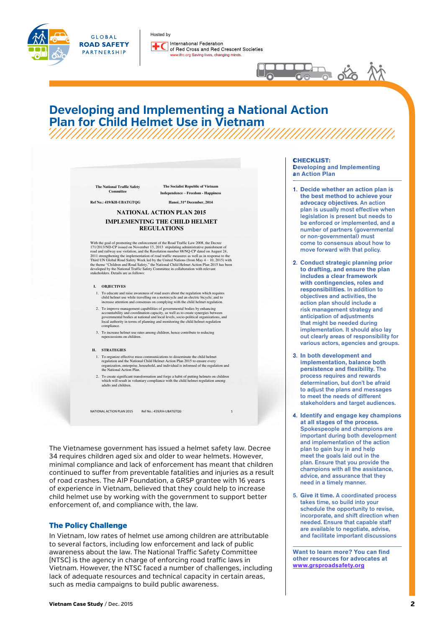

GLOBAL **ROAD SAFETY** PARTNERSHIP

Hosted by International Federation of Red Cross and Red Crescent Societies ifrc.org Saving lives, changing minds.



## **Developing and Implementing a National Action Plan for Child Helmet Use in Vietnam** ////////////////////

|                          | <b>The National Traffic Safety</b><br>Committee | The Socialist Republic of Vietnam<br><b>Independence - Freedom - Happiness</b>                                                                                                                                                                                                                                                                                                                                                                                                                                                                                                                                                                    |  |
|--------------------------|-------------------------------------------------|---------------------------------------------------------------------------------------------------------------------------------------------------------------------------------------------------------------------------------------------------------------------------------------------------------------------------------------------------------------------------------------------------------------------------------------------------------------------------------------------------------------------------------------------------------------------------------------------------------------------------------------------------|--|
| Ref No.: 419/KH-UBATGTOG |                                                 | Hanoi, 31st December, 2014                                                                                                                                                                                                                                                                                                                                                                                                                                                                                                                                                                                                                        |  |
|                          |                                                 | <b>NATIONAL ACTION PLAN 2015</b>                                                                                                                                                                                                                                                                                                                                                                                                                                                                                                                                                                                                                  |  |
|                          |                                                 | <b>IMPLEMENTING THE CHILD HELMET</b>                                                                                                                                                                                                                                                                                                                                                                                                                                                                                                                                                                                                              |  |
|                          |                                                 | <b>REGULATIONS</b>                                                                                                                                                                                                                                                                                                                                                                                                                                                                                                                                                                                                                                |  |
|                          | stakeholders. Details are as follows:           | With the goal of promoting the enforcement of the Road Traffic Law 2008, the Decree<br>171/2013/ND-CP issued on November 13, 2013 stipulating administrative punishment of<br>road and railway use violation, and the Resolution number 88/NQ-CP dated on August 24,<br>2011 strengthening the implementation of road traffic measures as well as in response to the<br>Third UN Global Road Safety Week led by the United Nations (from May 4 – 10, 2015) with<br>the theme "Children and Road Safety," the National Child Helmet Action Plan 2015 has been<br>developed by the National Traffic Safety Committee in collaboration with relevant |  |
| Ι.<br><b>OBJECTIVES</b>  |                                                 |                                                                                                                                                                                                                                                                                                                                                                                                                                                                                                                                                                                                                                                   |  |
|                          |                                                 | 1. To educate and raise awareness of road users about the regulation which requires<br>child helmet use while travelling on a motorcycle and an electric bicycle; and to<br>increase attention and consensus on complying with the child helmet regulation.                                                                                                                                                                                                                                                                                                                                                                                       |  |
| compliance.              |                                                 | 2. To improve management capabilities of governmental bodies by enhancing<br>accountability and coordination capacity, as well as to create synergies between<br>governmental bodies at national and local levels, socio-political organizations, and<br>local authority in terms of planning and monitoring the child helmet regulation                                                                                                                                                                                                                                                                                                          |  |
|                          | repercussions on children.                      | 3. To increase helmet use rates among children, hence contribute to reducing                                                                                                                                                                                                                                                                                                                                                                                                                                                                                                                                                                      |  |
| П.<br><b>STRATEGIES</b>  |                                                 |                                                                                                                                                                                                                                                                                                                                                                                                                                                                                                                                                                                                                                                   |  |
|                          | the National Action Plan.                       | 1. To organize effective mass communications to disseminate the child helmet<br>regulation and the National Child Helmet Action Plan 2015 to ensure every<br>organization, enterprise, household, and individual is informed of the regulation and                                                                                                                                                                                                                                                                                                                                                                                                |  |
|                          | adults and children.                            | 2. To create significant transformation and forge a habit of putting helmets on children<br>which will result in voluntary compliance with the child helmet regulation among                                                                                                                                                                                                                                                                                                                                                                                                                                                                      |  |

The Vietnamese government has issued a helmet safety law. Decree 34 requires children aged six and older to wear helmets. However, minimal compliance and lack of enforcement has meant that children continued to suffer from preventable fatalities and injuries as a result of road crashes. The AIP Foundation, a GRSP grantee with 16 years of experience in Vietnam, believed that they could help to increase child helmet use by working with the government to support better enforcement of, and compliance with, the law.

## The Policy Challenge

In Vietnam, low rates of helmet use among children are attributable to several factors, including low enforcement and lack of public awareness about the law. The National Traffic Safety Committee (NTSC) is the agency in charge of enforcing road traffic laws in Vietnam. However, the NTSC faced a number of challenges, including lack of adequate resources and technical capacity in certain areas, such as media campaigns to build public awareness.

#### CHECKLIST:

**Developing and Implementing an Action Plan**

- 1. **Decide whether an action plan is the best method to achieve your advocacy objectives**. An action plan is usually most effective when legislation is present but needs to be enforced or implemented, and a number of partners (governmental or non-governmental) must come to consensus about how to move forward with that policy.
- 2. **Conduct strategic planning prior to drafting, and ensure the plan includes a clear framework with contingencies, roles and responsibilities**. In addition to objectives and activities, the action plan should include a risk management strategy and anticipation of adjustments that might be needed during implementation. It should also lay out clearly areas of responsibility for various actors, agencies and groups.
- 3. **In both development and implementation, balance both persistence and flexibility.** The process requires and rewards determination, but don't be afraid to adjust the plans and messages to meet the needs of different stakeholders and target audiences.
- 4. **Identify and engage key champions at all stages of the process.**  Spokespeople and champions are important during both development and implementation of the action plan to gain buy in and help meet the goals laid out in the plan. Ensure that you provide the champions with all the assistance, advice, and assurance that they need in a timely manner.
- 5. **Give it time.** A coordinated process takes time, so build into your schedule the opportunity to revise, incorporate, and shift direction when needed. Ensure that canable staff are available to negotiate, advise, and facilitate important discussions

**Want to learn more? You can find other resources for advocates at [www.grsproadsafety.org](http://www.grsproadsafety.org/what-we-do/road-safety-advocacy)**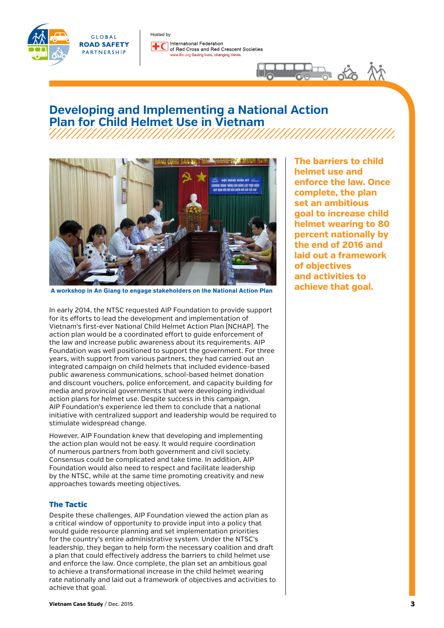



## **Developing and Implementing a National Action Plan for Child Helmet Use in Vietnam** ////////////////////



 **A workshop in An Giang to engage stakeholders on the National Action Plan**

In early 2014, the NTSC requested AIP Foundation to provide support for its efforts to lead the development and implementation of Vietnam's first-ever National Child Helmet Action Plan (NCHAP). The action plan would be a coordinated effort to guide enforcement of the law and increase public awareness about its requirements. AIP Foundation was well positioned to support the government. For three years, with support from various partners, they had carried out an integrated campaign on child helmets that included evidence-based public awareness communications, school-based helmet donation and discount vouchers, police enforcement, and capacity building for media and provincial governments that were developing individual action plans for helmet use. Despite success in this campaign, AIP Foundation's experience led them to conclude that a national initiative with centralized support and leadership would be required to stimulate widespread change.

However, AIP Foundation knew that developing and implementing the action plan would not be easy. It would require coordination of numerous partners from both government and civil society. Consensus could be complicated and take time. In addition, AIP Foundation would also need to respect and facilitate leadership by the NTSC, while at the same time promoting creativity and new approaches towards meeting objectives.

## The Tactic

Despite these challenges, AIP Foundation viewed the action plan as a critical window of opportunity to provide input into a policy that would guide resource planning and set implementation priorities for the country's entire administrative system. Under the NTSC's leadership, they began to help form the necessary coalition and draft a plan that could effectively address the barriers to child helmet use and enforce the law. Once complete, the plan set an ambitious goal to achieve a transformational increase in the child helmet wearing rate nationally and laid out a framework of objectives and activities to achieve that goal.

**The barriers to child helmet use and enforce the law. Once complete, the plan set an ambitious goal to increase child helmet wearing to 80 percent nationally by the end of 2016 and laid out a framework of objectives and activities to achieve that goal.**